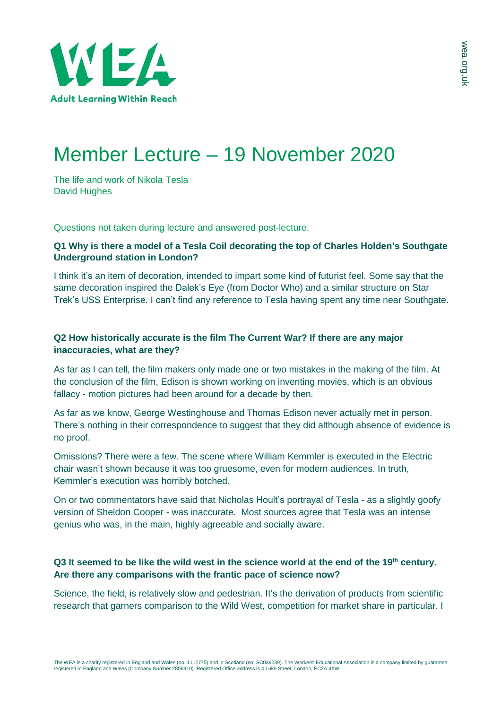

## Member Lecture – 19 November 2020

The life and work of Nikola Tesla David Hughes

Questions not taken during lecture and answered post-lecture.

## **Q1 Why is there a model of a Tesla Coil decorating the top of Charles Holden's Southgate Underground station in London?**

I think it's an item of decoration, intended to impart some kind of futurist feel. Some say that the same decoration inspired the Dalek's Eye (from Doctor Who) and a similar structure on Star Trek's USS Enterprise. I can't find any reference to Tesla having spent any time near Southgate.

## **Q2 How historically accurate is the film The Current War? If there are any major inaccuracies, what are they?**

As far as I can tell, the film makers only made one or two mistakes in the making of the film. At the conclusion of the film, Edison is shown working on inventing movies, which is an obvious fallacy - motion pictures had been around for a decade by then.

As far as we know, George Westinghouse and Thomas Edison never actually met in person. There's nothing in their correspondence to suggest that they did although absence of evidence is no proof.

Omissions? There were a few. The scene where William Kemmler is executed in the Electric chair wasn't shown because it was too gruesome, even for modern audiences. In truth, Kemmler's execution was horribly botched.

On or two commentators have said that Nicholas Hoult's portrayal of Tesla - as a slightly goofy version of Sheldon Cooper - was inaccurate. Most sources agree that Tesla was an intense genius who was, in the main, highly agreeable and socially aware.

## Q3 It seemed to be like the wild west in the science world at the end of the 19th century. **Are there any comparisons with the frantic pace of science now?**

Science, the field, is relatively slow and pedestrian. It's the derivation of products from scientific research that garners comparison to the Wild West, competition for market share in particular. I